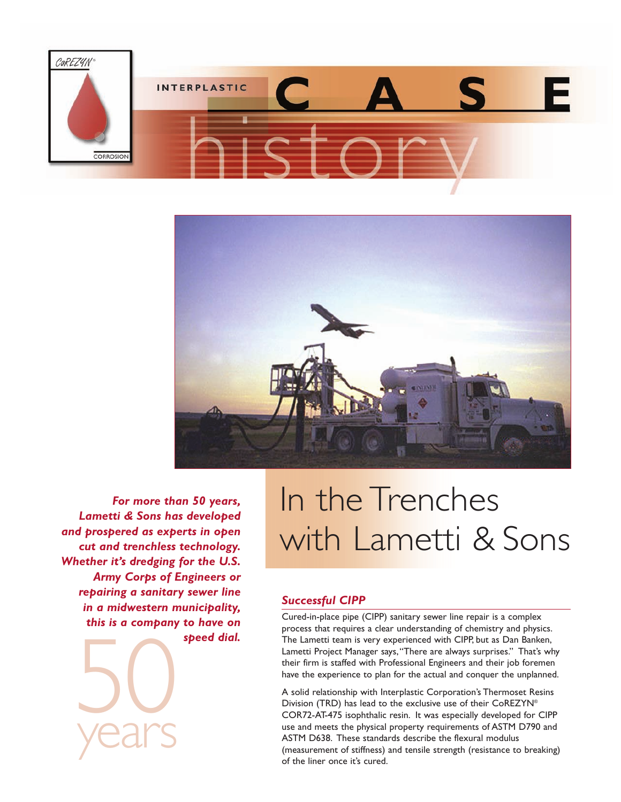



50<br>vears *For more than 50 years, Lametti & Sons has developed and prospered as experts in open cut and trenchless technology. Whether it's dredging for the U.S. Army Corps of Engineers or repairing a sanitary sewer line in a midwestern municipality, this is a company to have on speed dial.*

years

## In the Trenches with Lametti & Sons

## *Successful CIPP*

Cured-in-place pipe (CIPP) sanitary sewer line repair is a complex process that requires a clear understanding of chemistry and physics. The Lametti team is very experienced with CIPP, but as Dan Banken, Lametti Project Manager says,"There are always surprises." That's why their firm is staffed with Professional Engineers and their job foremen have the experience to plan for the actual and conquer the unplanned.

A solid relationship with Interplastic Corporation's Thermoset Resins Division (TRD) has lead to the exclusive use of their CoREZYN® COR72-AT-475 isophthalic resin. It was especially developed for CIPP use and meets the physical property requirements of ASTM D790 and ASTM D638. These standards describe the flexural modulus (measurement of stiffness) and tensile strength (resistance to breaking) of the liner once it's cured.